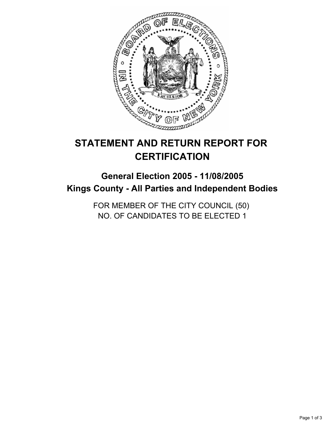

# **STATEMENT AND RETURN REPORT FOR CERTIFICATION**

# **General Election 2005 - 11/08/2005 Kings County - All Parties and Independent Bodies**

FOR MEMBER OF THE CITY COUNCIL (50) NO. OF CANDIDATES TO BE ELECTED 1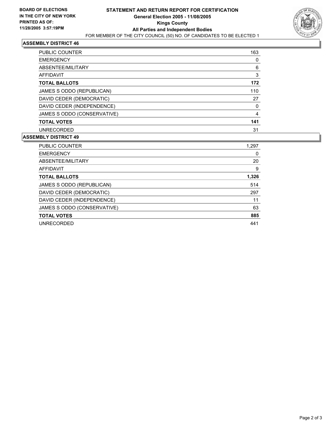

### **ASSEMBLY DISTRICT 46**

| <b>PUBLIC COUNTER</b>       | 163 |
|-----------------------------|-----|
| <b>EMERGENCY</b>            |     |
| ABSENTEE/MILITARY           | 6   |
| AFFIDAVIT                   | 3   |
| <b>TOTAL BALLOTS</b>        | 172 |
| JAMES S ODDO (REPUBLICAN)   | 110 |
| DAVID CEDER (DEMOCRATIC)    | 27  |
| DAVID CEDER (INDEPENDENCE)  |     |
| JAMES S ODDO (CONSERVATIVE) |     |
| <b>TOTAL VOTES</b>          | 141 |
| <b>UNRECORDED</b>           | 31  |

#### **ASSEMBLY DISTRICT 49**

| PUBLIC COUNTER              | 1,297 |
|-----------------------------|-------|
| <b>EMERGENCY</b>            | 0     |
| ABSENTEE/MILITARY           | 20    |
| <b>AFFIDAVIT</b>            | 9     |
| <b>TOTAL BALLOTS</b>        | 1,326 |
| JAMES S ODDO (REPUBLICAN)   | 514   |
| DAVID CEDER (DEMOCRATIC)    | 297   |
| DAVID CEDER (INDEPENDENCE)  | 11    |
| JAMES S ODDO (CONSERVATIVE) | 63    |
| <b>TOTAL VOTES</b>          | 885   |
| <b>UNRECORDED</b>           | 441   |